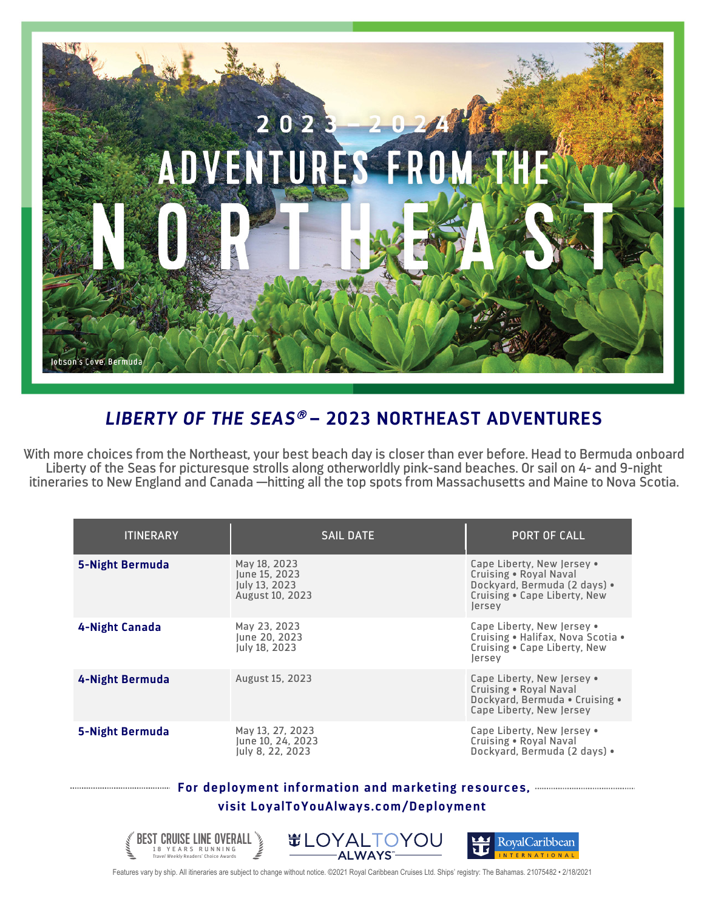

## *LIBERTY OF THE SEAS*<sup>â</sup> **– 2023 NORTHEAST ADVENTURES**

With more choices from the Northeast, your best beach day is closer than ever before. Head to Bermuda onboard Liberty of the Seas for picturesque strolls along otherworldly pink-sand beaches. Or sail on 4- and 9-night itineraries to New England and Canada —hitting all the top spots from Massachusetts and Maine to Nova Scotia.

| <b>ITINERARY</b>       | <b>SAIL DATE</b>                                                  | PORT OF CALL                                                                                                                   |
|------------------------|-------------------------------------------------------------------|--------------------------------------------------------------------------------------------------------------------------------|
| <b>5-Night Bermuda</b> | May 18, 2023<br>June 15, 2023<br>July 13, 2023<br>August 10, 2023 | Cape Liberty, New Jersey .<br>Cruising . Royal Naval<br>Dockyard, Bermuda (2 days) .<br>Cruising . Cape Liberty, New<br>lersey |
| 4-Night Canada         | May 23, 2023<br>June 20, 2023<br><b>Iuly 18, 2023</b>             | Cape Liberty, New Jersey •<br>Cruising . Halifax, Nova Scotia .<br>Cruising . Cape Liberty, New<br>lersey                      |
| 4-Night Bermuda        | August 15, 2023                                                   | Cape Liberty, New Jersey •<br>Cruising . Royal Naval<br>Dockyard, Bermuda . Cruising .<br>Cape Liberty, New Jersey             |
| <b>5-Night Bermuda</b> | May 13, 27, 2023<br>June 10, 24, 2023<br>July 8, 22, 2023         | Cape Liberty, New Jersey •<br>Cruising . Royal Naval<br>Dockyard, Bermuda (2 days) .                                           |

## **For deployment information and marketing resources, visit LoyalToYouAlways.com/Deployment**



Features vary by ship. All itineraries are subject to change without notice. ©2021 Royal Caribbean Cruises Ltd. Ships' registry: The Bahamas. 21075482 • 2/18/2021